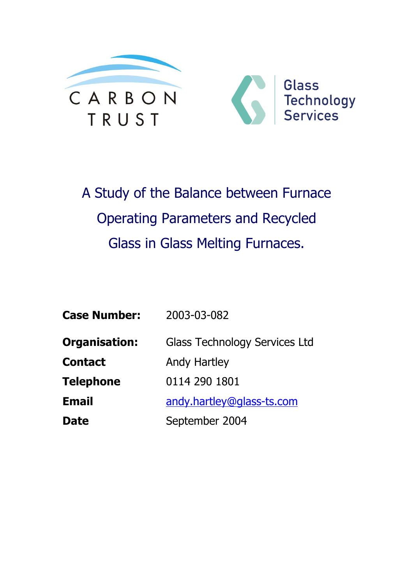

A Study of the Balance between Furnace **Operating Parameters and Recycled** Glass in Glass Melting Furnaces.

| <b>Case Number:</b>  | 2003-03-082                          |
|----------------------|--------------------------------------|
| <b>Organisation:</b> | <b>Glass Technology Services Ltd</b> |
| <b>Contact</b>       | <b>Andy Hartley</b>                  |
| <b>Telephone</b>     | 0114 290 1801                        |
| <b>Email</b>         | andy.hartley@glass-ts.com            |
| <b>Date</b>          | September 2004                       |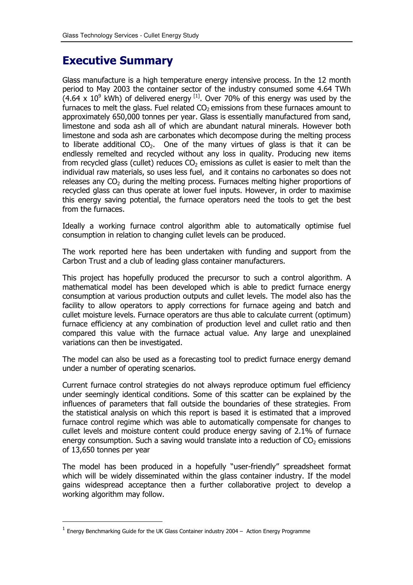# **Executive Summary**

Glass manufacture is a high temperature energy intensive process. In the 12 month period to May 2003 the container sector of the industry consumed some 4.64 TWh  $(4.64 \times 10^9 \text{ kWh})$  of delivered energy  $^{[1]}$ . Over 70% of this energy was used by the furnaces to melt the glass. Fuel related  $CO<sub>2</sub>$  emissions from these furnaces amount to approximately 650,000 tonnes per year. Glass is essentially manufactured from sand, limestone and soda ash all of which are abundant natural minerals. However both limestone and soda ash are carbonates which decompose during the melting process to liberate additional  $CO<sub>2</sub>$ . One of the many virtues of glass is that it can be endlessly remelted and recycled without any loss in quality. Producing new items from recycled glass (cullet) reduces  $CO<sub>2</sub>$  emissions as cullet is easier to melt than the individual raw materials, so uses less fuel, and it contains no carbonates so does not releases any CO<sub>2</sub> during the melting process. Furnaces melting higher proportions of recycled glass can thus operate at lower fuel inputs. However, in order to maximise this energy saving potential, the furnace operators need the tools to get the best from the furnaces.

Ideally a working furnace control algorithm able to automatically optimise fuel consumption in relation to changing cullet levels can be produced.

The work reported here has been undertaken with funding and support from the Carbon Trust and a club of leading glass container manufacturers.

This project has hopefully produced the precursor to such a control algorithm. A mathematical model has been developed which is able to predict furnace energy consumption at various production outputs and cullet levels. The model also has the facility to allow operators to apply corrections for furnace ageing and batch and cullet moisture levels. Furnace operators are thus able to calculate current (optimum) furnace efficiency at any combination of production level and cullet ratio and then compared this value with the furnace actual value. Any large and unexplained variations can then be investigated.

The model can also be used as a forecasting tool to predict furnace energy demand under a number of operating scenarios.

Current furnace control strategies do not always reproduce optimum fuel efficiency under seemingly identical conditions. Some of this scatter can be explained by the influences of parameters that fall outside the boundaries of these strategies. From the statistical analysis on which this report is based it is estimated that a improved furnace control regime which was able to automatically compensate for changes to cullet levels and moisture content could produce energy saving of 2.1% of furnace energy consumption. Such a saving would translate into a reduction of  $CO<sub>2</sub>$  emissions of 13,650 tonnes per year

The model has been produced in a hopefully "user-friendly" spreadsheet format which will be widely disseminated within the glass container industry. If the model gains widespread acceptance then a further collaborative project to develop a working algorithm may follow.

 $1$  Energy Benchmarking Guide for the UK Glass Container industry 2004 - Action Energy Programme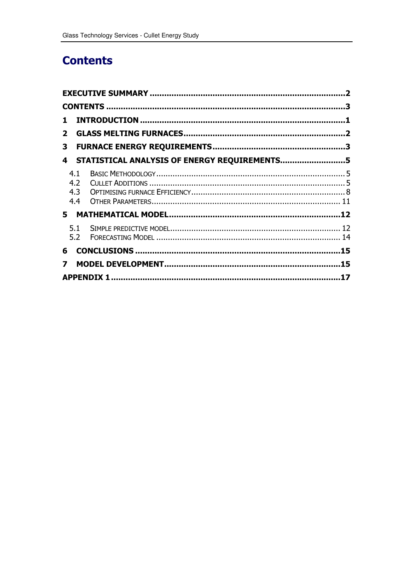# **Contents**

| $\mathbf{1}$                                      |  |
|---------------------------------------------------|--|
| 2 <sup>1</sup>                                    |  |
| 3                                                 |  |
| STATISTICAL ANALYSIS OF ENERGY REQUIREMENTS5<br>4 |  |
| 4.1<br>4.2<br>4.3<br>4.4                          |  |
| 5.                                                |  |
|                                                   |  |
| 6                                                 |  |
| $\overline{\mathbf{z}}$                           |  |
|                                                   |  |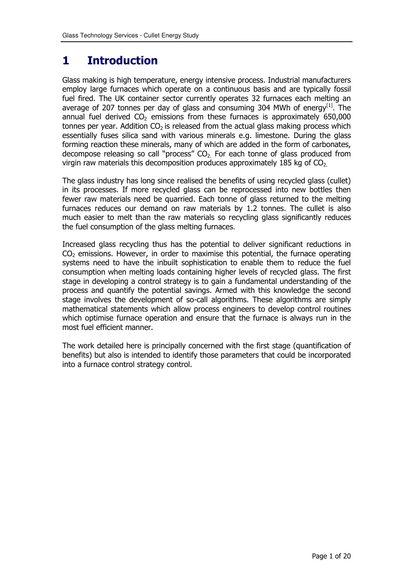### 1 **Introduction**

Glass making is high temperature, energy intensive process. Industrial manufacturers employ large furnaces which operate on a continuous basis and are typically fossil fuel fired. The UK container sector currently operates 32 furnaces each melting an average of 207 tonnes per day of glass and consuming 304 MWh of energy<sup>[1]</sup>. The annual fuel derived  $CO<sub>2</sub>$  emissions from these furnaces is approximately 650,000 tonnes per year. Addition  $CO<sub>2</sub>$  is released from the actual glass making process which essentially fuses silica sand with various minerals e.g. limestone. During the glass forming reaction these minerals, many of which are added in the form of carbonates, decompose releasing so call "process"  $CO<sub>2</sub>$  For each tonne of glass produced from virgin raw materials this decomposition produces approximately 185 kg of  $CO<sub>2</sub>$ 

The glass industry has long since realised the benefits of using recycled glass (cullet) in its processes. If more recycled glass can be reprocessed into new bottles then fewer raw materials need be quarried. Each tonne of glass returned to the melting furnaces reduces our demand on raw materials by 1.2 tonnes. The cullet is also much easier to melt than the raw materials so recycling glass significantly reduces the fuel consumption of the glass melting furnaces.

Increased glass recycling thus has the potential to deliver significant reductions in  $CO<sub>2</sub>$  emissions. However, in order to maximise this potential, the furnace operating systems need to have the inbuilt sophistication to enable them to reduce the fuel consumption when melting loads containing higher levels of recycled glass. The first stage in developing a control strategy is to gain a fundamental understanding of the process and quantify the potential savings. Armed with this knowledge the second stage involves the development of so-call algorithms. These algorithms are simply mathematical statements which allow process engineers to develop control routines which optimise furnace operation and ensure that the furnace is always run in the most fuel efficient manner.

The work detailed here is principally concerned with the first stage (quantification of benefits) but also is intended to identify those parameters that could be incorporated into a furnace control strategy control.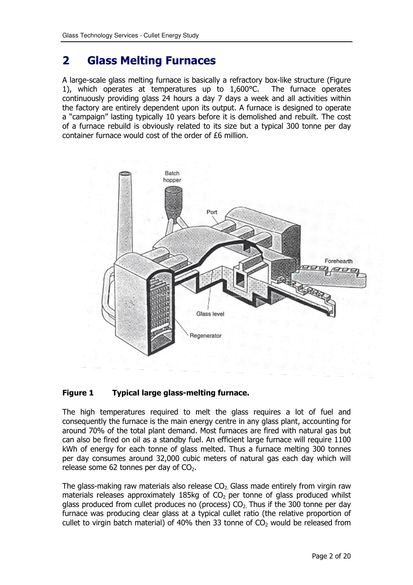#### $\mathbf{2}$ **Glass Melting Furnaces**

A large-scale glass melting furnace is basically a refractory box-like structure (Figure 1), which operates at temperatures up to 1,600°C. The furnace operates continuously providing glass 24 hours a day 7 days a week and all activities within the factory are entirely dependent upon its output. A furnace is designed to operate a "campaign" lasting typically 10 years before it is demolished and rebuilt. The cost of a furnace rebuild is obviously related to its size but a typical 300 tonne per day container furnace would cost of the order of £6 million.



#### **Figure 1** Typical large glass-melting furnace.

The high temperatures required to melt the glass requires a lot of fuel and consequently the furnace is the main energy centre in any glass plant, accounting for around 70% of the total plant demand. Most furnaces are fired with natural gas but can also be fired on oil as a standby fuel. An efficient large furnace will require 1100 kWh of energy for each tonne of glass melted. Thus a furnace melting 300 tonnes per day consumes around 32,000 cubic meters of natural gas each day which will release some 62 tonnes per day of CO<sub>2</sub>.

The glass-making raw materials also release  $CO<sub>2</sub>$  Glass made entirely from virgin raw materials releases approximately 185kg of  $CO<sub>2</sub>$  per tonne of glass produced whilst glass produced from cullet produces no (process)  $CO<sub>2</sub>$ . Thus if the 300 tonne per day furnace was producing clear glass at a typical cullet ratio (the relative proportion of cullet to virgin batch material) of 40% then 33 tonne of  $CO<sub>2</sub>$  would be released from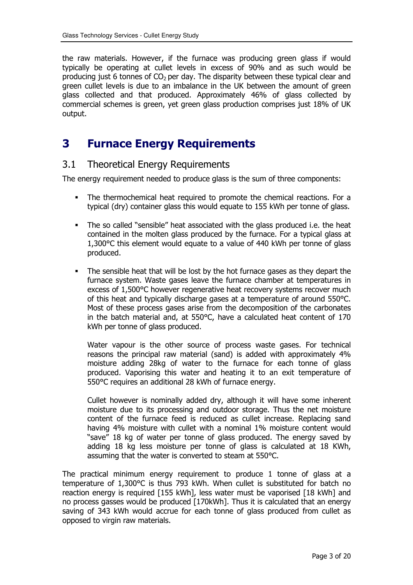the raw materials. However, if the furnace was producing green glass if would typically be operating at cullet levels in excess of 90% and as such would be producing just 6 tonnes of  $CO<sub>2</sub>$  per day. The disparity between these typical clear and green cullet levels is due to an imbalance in the UK between the amount of green glass collected and that produced. Approximately 46% of glass collected by commercial schemes is green, yet green glass production comprises just 18% of UK output.

#### **Furnace Energy Requirements** 3

#### $3.1$ **Theoretical Energy Requirements**

The energy requirement needed to produce glass is the sum of three components:

- The thermochemical heat required to promote the chemical reactions. For a typical (dry) container glass this would equate to 155 kWh per tonne of glass.
- The so called "sensible" heat associated with the glass produced i.e. the heat contained in the molten glass produced by the furnace. For a typical glass at 1,300 °C this element would equate to a value of 440 kWh per tonne of glass produced.
- The sensible heat that will be lost by the hot furnace gases as they depart the furnace system. Waste gases leave the furnace chamber at temperatures in excess of 1,500°C however regenerative heat recovery systems recover much of this heat and typically discharge gases at a temperature of around 550°C. Most of these process gases arise from the decomposition of the carbonates in the batch material and, at 550°C, have a calculated heat content of 170 kWh per tonne of glass produced.

Water vapour is the other source of process waste gases. For technical reasons the principal raw material (sand) is added with approximately 4% moisture adding 28kg of water to the furnace for each tonne of glass produced. Vaporising this water and heating it to an exit temperature of 550°C requires an additional 28 kWh of furnace energy.

Cullet however is nominally added dry, although it will have some inherent moisture due to its processing and outdoor storage. Thus the net moisture content of the furnace feed is reduced as cullet increase. Replacing sand having 4% moisture with cullet with a nominal 1% moisture content would "save" 18 kg of water per tonne of glass produced. The energy saved by adding 18 kg less moisture per tonne of glass is calculated at 18 KWh, assuming that the water is converted to steam at 550°C.

The practical minimum energy requirement to produce 1 tonne of glass at a temperature of 1,300°C is thus 793 kWh. When cullet is substituted for batch no reaction energy is required [155 kWh], less water must be vaporised [18 kWh] and no process gasses would be produced [170kWh]. Thus it is calculated that an energy saving of 343 kWh would accrue for each tonne of glass produced from cullet as opposed to virgin raw materials.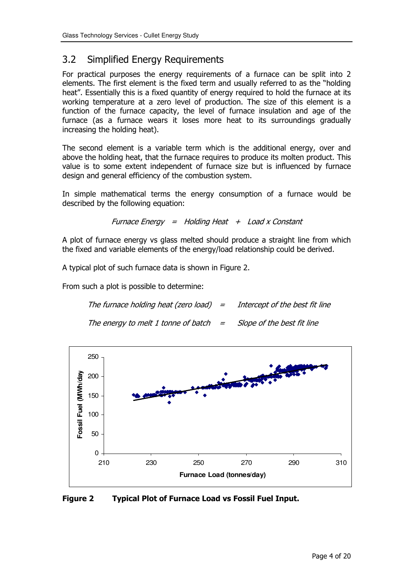#### $3.2$ **Simplified Energy Requirements**

For practical purposes the energy requirements of a furnace can be split into 2 elements. The first element is the fixed term and usually referred to as the "holding heat". Essentially this is a fixed quantity of energy required to hold the furnace at its working temperature at a zero level of production. The size of this element is a function of the furnace capacity, the level of furnace insulation and age of the furnace (as a furnace wears it loses more heat to its surroundings gradually increasing the holding heat).

The second element is a variable term which is the additional energy, over and above the holding heat, that the furnace requires to produce its molten product. This value is to some extent independent of furnace size but is influenced by furnace design and general efficiency of the combustion system.

In simple mathematical terms the energy consumption of a furnace would be described by the following equation:

Furnace Energy = Holding Heat  $+$  Load x Constant

A plot of furnace energy ys glass melted should produce a straight line from which the fixed and variable elements of the energy/load relationship could be derived.

A typical plot of such furnace data is shown in Figure 2.

From such a plot is possible to determine:

| The furnace holding heat (zero load) $=$                                  | Intercept of the best fit line |
|---------------------------------------------------------------------------|--------------------------------|
| The energy to melt 1 tonne of batch $\qquad$ = Slope of the best fit line |                                |



**Figure 2 Typical Plot of Furnace Load vs Fossil Fuel Input.**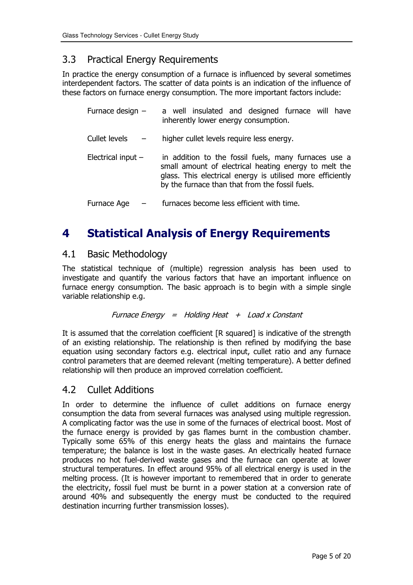#### $3.3$ **Practical Energy Requirements**

In practice the energy consumption of a furnace is influenced by several sometimes interdependent factors. The scatter of data points is an indication of the influence of these factors on furnace energy consumption. The more important factors include:

| Furnace design -     | a well insulated and designed furnace will have<br>inherently lower energy consumption.                                                                                                                                        |
|----------------------|--------------------------------------------------------------------------------------------------------------------------------------------------------------------------------------------------------------------------------|
| Cullet levels        | higher cullet levels require less energy.                                                                                                                                                                                      |
| Electrical input $-$ | in addition to the fossil fuels, many furnaces use a<br>small amount of electrical heating energy to melt the<br>glass. This electrical energy is utilised more efficiently<br>by the furnace than that from the fossil fuels. |
| Furnace Age          | furnaces become less efficient with time.                                                                                                                                                                                      |

### 4 **Statistical Analysis of Energy Requirements**

#### $4.1$ **Basic Methodology**

The statistical technique of (multiple) regression analysis has been used to investigate and quantify the various factors that have an important influence on furnace energy consumption. The basic approach is to begin with a simple single variable relationship e.g.

### Furnace Energy = Holding Heat  $+$  Load x Constant

It is assumed that the correlation coefficient [R squared] is indicative of the strength of an existing relationship. The relationship is then refined by modifying the base equation using secondary factors e.g. electrical input, cullet ratio and any furnace control parameters that are deemed relevant (melting temperature). A better defined relationship will then produce an improved correlation coefficient.

#### $4.2$ **Cullet Additions**

In order to determine the influence of cullet additions on furnace energy consumption the data from several furnaces was analysed using multiple regression. A complicating factor was the use in some of the furnaces of electrical boost. Most of the furnace energy is provided by gas flames burnt in the combustion chamber. Typically some 65% of this energy heats the glass and maintains the furnace temperature; the balance is lost in the waste gases. An electrically heated furnace produces no hot fuel-derived waste gases and the furnace can operate at lower structural temperatures. In effect around 95% of all electrical energy is used in the melting process. (It is however important to remembered that in order to generate the electricity, fossil fuel must be burnt in a power station at a conversion rate of around 40% and subsequently the energy must be conducted to the required destination incurring further transmission losses).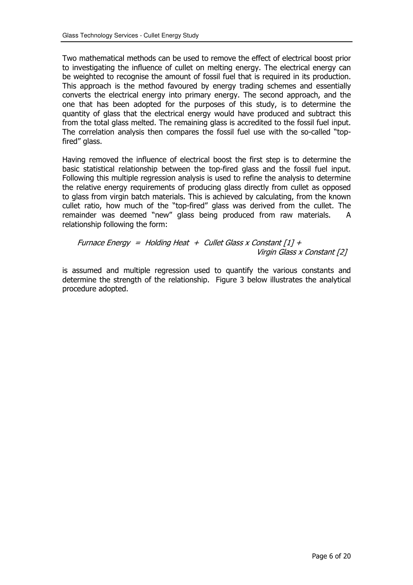Two mathematical methods can be used to remove the effect of electrical boost prior to investigating the influence of cullet on melting energy. The electrical energy can be weighted to recognise the amount of fossil fuel that is required in its production. This approach is the method favoured by energy trading schemes and essentially converts the electrical energy into primary energy. The second approach, and the one that has been adopted for the purposes of this study, is to determine the quantity of glass that the electrical energy would have produced and subtract this from the total glass melted. The remaining glass is accredited to the fossil fuel input. The correlation analysis then compares the fossil fuel use with the so-called "topfired" alass.

Having removed the influence of electrical boost the first step is to determine the basic statistical relationship between the top-fired glass and the fossil fuel input. Following this multiple regression analysis is used to refine the analysis to determine the relative energy requirements of producing glass directly from cullet as opposed to glass from virgin batch materials. This is achieved by calculating, from the known cullet ratio, how much of the "top-fired" glass was derived from the cullet. The remainder was deemed "new" glass being produced from raw materials.  $\mathsf{A}$ relationship following the form:

Furnace Energy = Holding Heat + Cullet Glass x Constant  $[1] +$ Virgin Glass x Constant [2]

is assumed and multiple regression used to quantify the various constants and determine the strength of the relationship. Figure 3 below illustrates the analytical procedure adopted.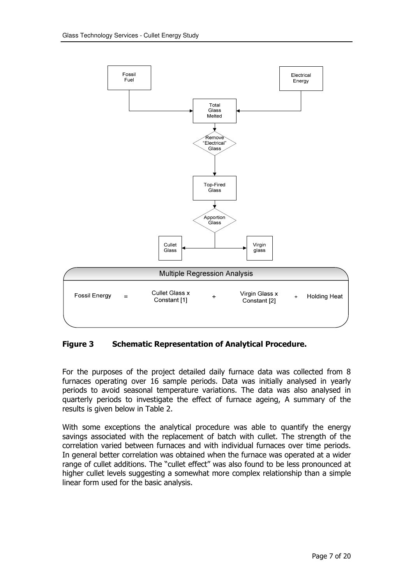

**Figure 3 Schematic Representation of Analytical Procedure.** 

For the purposes of the project detailed daily furnace data was collected from 8 furnaces operating over 16 sample periods. Data was initially analysed in yearly periods to avoid seasonal temperature variations. The data was also analysed in quarterly periods to investigate the effect of furnace ageing, A summary of the results is given below in Table 2.

With some exceptions the analytical procedure was able to quantify the energy savings associated with the replacement of batch with cullet. The strength of the correlation varied between furnaces and with individual furnaces over time periods. In general better correlation was obtained when the furnace was operated at a wider range of cullet additions. The "cullet effect" was also found to be less pronounced at higher cullet levels suggesting a somewhat more complex relationship than a simple linear form used for the basic analysis.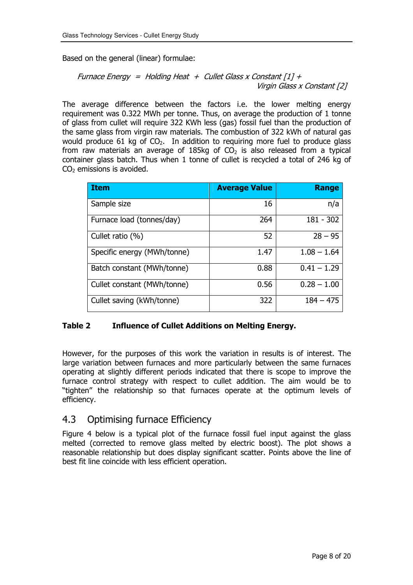Based on the general (linear) formulae:

\n
$$
\text{Funcace Energy} = \text{Holding Heat} + \text{Cullet Glass} \times \text{Constant} \left[ 1 \right] + \text{Virgin Glass} \times \text{Constant} \left[ 2 \right]
$$
\n

The average difference between the factors i.e. the lower melting energy requirement was 0.322 MWh per tonne. Thus, on average the production of 1 tonne of glass from cullet will require 322 KWh less (gas) fossil fuel than the production of the same glass from virgin raw materials. The combustion of 322 kWh of natural gas would produce 61 kg of  $CO<sub>2</sub>$ . In addition to requiring more fuel to produce glass from raw materials an average of 185kg of  $CO<sub>2</sub>$  is also released from a typical container glass batch. Thus when 1 tonne of cullet is recycled a total of 246 kg of  $CO<sub>2</sub>$  emissions is avoided.

| <b>Item</b>                 | <b>Average Value</b> | <b>Range</b>  |
|-----------------------------|----------------------|---------------|
| Sample size                 | 16                   | n/a           |
| Furnace load (tonnes/day)   | 264                  | 181 - 302     |
| Cullet ratio $(\%)$         | 52                   | $28 - 95$     |
| Specific energy (MWh/tonne) | 1.47                 | $1.08 - 1.64$ |
| Batch constant (MWh/tonne)  | 0.88                 | $0.41 - 1.29$ |
| Cullet constant (MWh/tonne) | 0.56                 | $0.28 - 1.00$ |
| Cullet saving (kWh/tonne)   | 322                  | $184 - 475$   |

#### Table 2 **Influence of Cullet Additions on Melting Energy.**

However, for the purposes of this work the variation in results is of interest. The large variation between furnaces and more particularly between the same furnaces operating at slightly different periods indicated that there is scope to improve the furnace control strategy with respect to cullet addition. The aim would be to "tighten" the relationship so that furnaces operate at the optimum levels of efficiency.

#### 4.3 **Optimising furnace Efficiency**

Figure 4 below is a typical plot of the furnace fossil fuel input against the glass melted (corrected to remove glass melted by electric boost). The plot shows a reasonable relationship but does display significant scatter. Points above the line of best fit line coincide with less efficient operation.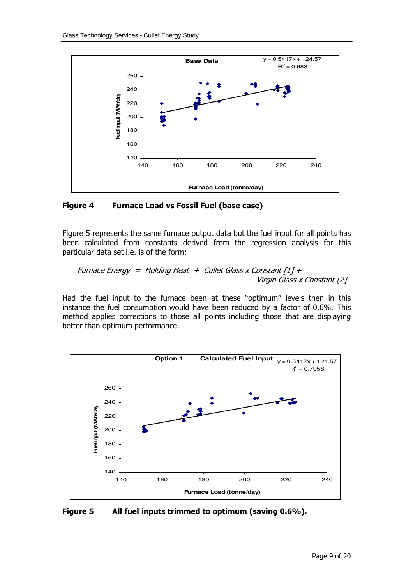

**Figure 4** e 4 Furnace Load vs Fossil Fuel (base case)

Figure 5 represents the same furnace output data but the fuel input for all points has been calculated from constants derived from the regression analysis for this particular data set i.e. is of the form:

?K ( ( <sup>L</sup> 8 18 4)5 <sup>L</sup> F 18 4 5

Had the fuel input to the furnace been at these "optimum" levels then in this instance the fuel consumption would have been reduced by a factor of 0.6%. This method applies corrections to those all points including those that are displaying better than optimum performance.



Figure 5 e 5 All fuel inputs trimmed to optimum (saving 0.6%).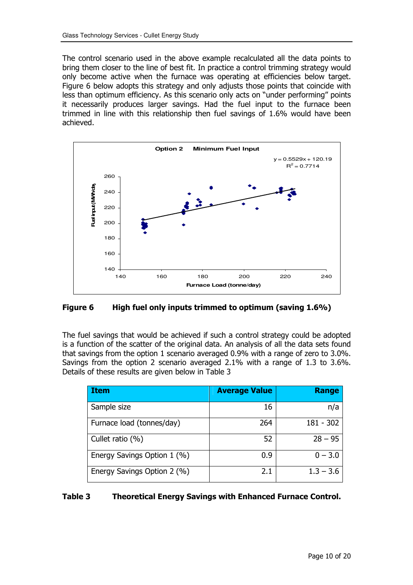The control scenario used in the above example recalculated all the data points to bring them closer to the line of best fit. In practice a control trimming strategy would only become active when the furnace was operating at efficiencies below target. Figure 6 below adopts this strategy and only adjusts those points that coincide with less than optimum efficiency. As this scenario only acts on "under performing" points it necessarily produces larger savings. Had the fuel input to the furnace been trimmed in line with this relationship then fuel savings of 1.6% would have been achieved.



Figure 6 High fuel only inputs trimmed to optimum (saving 1.6%)

The fuel savings that would be achieved if such a control strategy could be adopted is a function of the scatter of the original data. An analysis of all the data sets found that savings from the option 1 scenario averaged 0.9% with a range of zero to 3.0%. Savings from the option 2 scenario averaged 2.1% with a range of 1.3 to 3.6%. Details of these results are given below in Table 3

| <b>Item</b>                 | <b>Average Value</b> | Range       |
|-----------------------------|----------------------|-------------|
| Sample size                 | 16                   | n/a         |
| Furnace load (tonnes/day)   | 264                  | 181 - 302   |
| Cullet ratio $(\%)$         | 52                   | $28 - 95$   |
| Energy Savings Option 1 (%) | 0.9                  | $0 - 3.0$   |
| Energy Savings Option 2 (%) | 2.1                  | $1.3 - 3.6$ |

#### Table 3 **Theoretical Energy Savings with Enhanced Furnace Control.**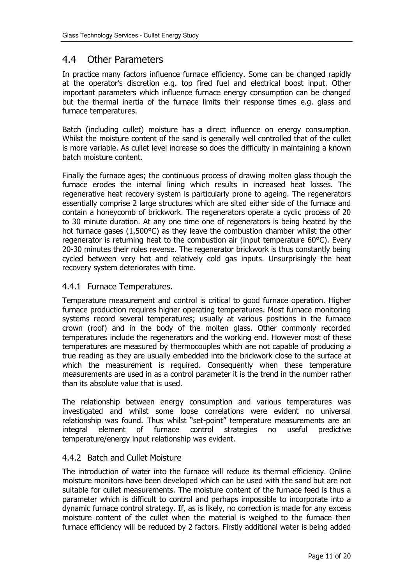#### $4.4$ **Other Parameters**

In practice many factors influence furnace efficiency. Some can be changed rapidly at the operator's discretion e.g. top fired fuel and electrical boost input. Other important parameters which influence furnace energy consumption can be changed but the thermal inertia of the furnace limits their response times e.g. glass and furnace temperatures.

Batch (including cullet) moisture has a direct influence on energy consumption. Whilst the moisture content of the sand is generally well controlled that of the cullet is more variable. As cullet level increase so does the difficulty in maintaining a known batch moisture content.

Finally the furnace ages; the continuous process of drawing molten glass though the furnace erodes the internal lining which results in increased heat losses. The regenerative heat recovery system is particularly prone to ageing. The regenerators essentially comprise 2 large structures which are sited either side of the furnace and contain a honeycomb of brickwork. The regenerators operate a cyclic process of 20 to 30 minute duration. At any one time one of regenerators is being heated by the hot furnace gases  $(1,500^{\circ}C)$  as they leave the combustion chamber whilst the other regenerator is returning heat to the combustion air (input temperature 60°C). Every 20-30 minutes their roles reverse. The regenerator brickwork is thus constantly being cycled between very hot and relatively cold gas inputs. Unsurprisingly the heat recovery system deteriorates with time.

## 4.4.1 Furnace Temperatures.

Temperature measurement and control is critical to good furnace operation. Higher furnace production requires higher operating temperatures. Most furnace monitoring systems record several temperatures; usually at various positions in the furnace crown (roof) and in the body of the molten glass. Other commonly recorded temperatures include the regenerators and the working end. However most of these temperatures are measured by thermocouples which are not capable of producing a true reading as they are usually embedded into the brickwork close to the surface at which the measurement is required. Consequently when these temperature measurements are used in as a control parameter it is the trend in the number rather than its absolute value that is used.

The relationship between energy consumption and various temperatures was investigated and whilst some loose correlations were evident no universal relationship was found. Thus whilst "set-point" temperature measurements are an integral element of furnace control strategies no useful predictive temperature/energy input relationship was evident.

## 4.4.2 Batch and Cullet Moisture

The introduction of water into the furnace will reduce its thermal efficiency. Online moisture monitors have been developed which can be used with the sand but are not suitable for cullet measurements. The moisture content of the furnace feed is thus a parameter which is difficult to control and perhaps impossible to incorporate into a dynamic furnace control strategy. If, as is likely, no correction is made for any excess moisture content of the cullet when the material is weighed to the furnace then furnace efficiency will be reduced by 2 factors. Firstly additional water is being added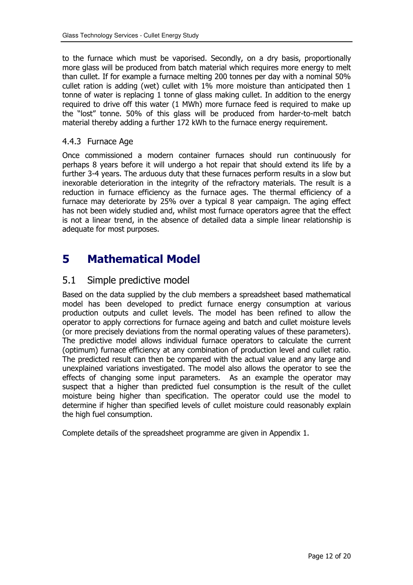to the furnace which must be vaporised. Secondly, on a dry basis, proportionally more glass will be produced from batch material which requires more energy to melt than cullet. If for example a furnace melting 200 tonnes per day with a nominal 50% cullet ration is adding (wet) cullet with 1% more moisture than anticipated then 1 tonne of water is replacing 1 tonne of glass making cullet. In addition to the energy required to drive off this water (1 MWh) more furnace feed is required to make up the "lost" tonne. 50% of this glass will be produced from harder-to-melt batch material thereby adding a further 172 kWh to the furnace energy requirement.

## 4.4.3 Furnace Age

Once commissioned a modern container furnaces should run continuously for perhaps 8 years before it will undergo a hot repair that should extend its life by a further 3-4 years. The arduous duty that these furnaces perform results in a slow but inexorable deterioration in the integrity of the refractory materials. The result is a reduction in furnace efficiency as the furnace ages. The thermal efficiency of a furnace may deteriorate by 25% over a typical 8 year campaign. The aging effect has not been widely studied and, whilst most furnace operators agree that the effect is not a linear trend, in the absence of detailed data a simple linear relationship is adequate for most purposes.

#### 5 **Mathematical Model**

#### $5.1$ Simple predictive model

Based on the data supplied by the club members a spreadsheet based mathematical model has been developed to predict furnace energy consumption at various production outputs and cullet levels. The model has been refined to allow the operator to apply corrections for furnace ageing and batch and cullet moisture levels (or more precisely deviations from the normal operating values of these parameters). The predictive model allows individual furnace operators to calculate the current (optimum) furnace efficiency at any combination of production level and cullet ratio. The predicted result can then be compared with the actual value and any large and unexplained variations investigated. The model also allows the operator to see the effects of changing some input parameters. As an example the operator may suspect that a higher than predicted fuel consumption is the result of the cullet moisture being higher than specification. The operator could use the model to determine if higher than specified levels of cullet moisture could reasonably explain the high fuel consumption.

Complete details of the spreadsheet programme are given in Appendix 1.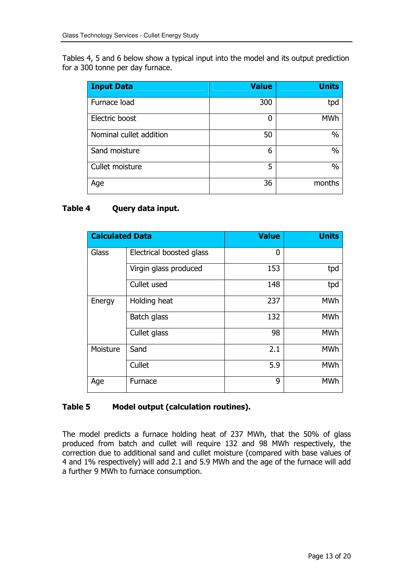Tables 4, 5 and 6 below show a typical input into the model and its output prediction for a 300 tonne per day furnace.

| <b>Input Data</b>       | <b>Value</b> | <b>Units</b>  |
|-------------------------|--------------|---------------|
| Furnace load            | 300          | tpd           |
| Electric boost          | 0            | <b>MWh</b>    |
| Nominal cullet addition | 50           | $\%$          |
| Sand moisture           | 6            | $\frac{0}{0}$ |
| Cullet moisture         | 5            | $\frac{0}{0}$ |
| Age                     | 36           | months        |

#### Query data input. Table 4

| <b>Calculated Data</b> |                          | <b>Value</b> | <b>Units</b> |
|------------------------|--------------------------|--------------|--------------|
| Glass                  | Electrical boosted glass | 0            |              |
|                        | Virgin glass produced    | 153          | tpd          |
|                        | Cullet used              | 148          | tpd          |
| Energy                 | Holding heat             | 237          | <b>MWh</b>   |
|                        | Batch glass              | 132          | <b>MWh</b>   |
|                        | Cullet glass             | 98           | <b>MWh</b>   |
| Moisture               | Sand                     | 2.1          | <b>MWh</b>   |
|                        | Cullet                   | 5.9          | <b>MWh</b>   |
| Age                    | Furnace                  | 9            | <b>MWh</b>   |

#### Table 5 Model output (calculation routines).

The model predicts a furnace holding heat of 237 MWh, that the 50% of glass produced from batch and cullet will require 132 and 98 MWh respectively, the correction due to additional sand and cullet moisture (compared with base values of 4 and 1% respectively) will add 2.1 and 5.9 MWh and the age of the furnace will add a further 9 MWh to furnace consumption.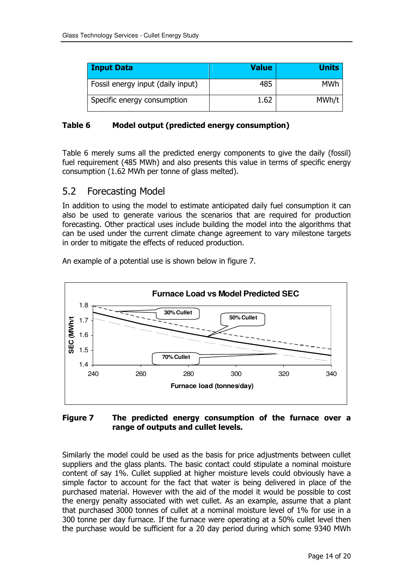| <b>Input Data</b>                 | <b>Value</b> | <b>Units</b> |
|-----------------------------------|--------------|--------------|
| Fossil energy input (daily input) | 485          | MWh          |
| Specific energy consumption       | 1.62         | MWh/t        |

#### Table 6 Model output (predicted energy consumption)

Table 6 merely sums all the predicted energy components to give the daily (fossil) fuel requirement (485 MWh) and also presents this value in terms of specific energy consumption (1.62 MWh per tonne of glass melted).

#### 5.2 **Forecasting Model**

In addition to using the model to estimate anticipated daily fuel consumption it can also be used to generate various the scenarios that are required for production forecasting. Other practical uses include building the model into the algorithms that can be used under the current climate change agreement to vary milestone targets in order to mitigate the effects of reduced production.

An example of a potential use is shown below in figure 7.



#### **Figure 7** The predicted energy consumption of the furnace over a range of outputs and cullet levels.

Similarly the model could be used as the basis for price adjustments between cullet suppliers and the glass plants. The basic contact could stipulate a nominal moisture content of say 1%. Cullet supplied at higher moisture levels could obviously have a simple factor to account for the fact that water is being delivered in place of the purchased material. However with the aid of the model it would be possible to cost the energy penalty associated with wet cullet. As an example, assume that a plant that purchased 3000 tonnes of cullet at a nominal moisture level of 1% for use in a 300 tonne per day furnace. If the furnace were operating at a 50% cullet level then the purchase would be sufficient for a 20 day period during which some 9340 MWh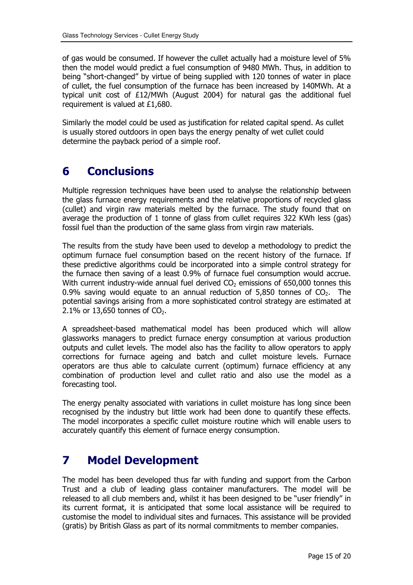of gas would be consumed. If however the cullet actually had a moisture level of 5% then the model would predict a fuel consumption of 9480 MWh. Thus, in addition to being "short-changed" by virtue of being supplied with 120 tonnes of water in place of cullet, the fuel consumption of the furnace has been increased by 140MWh. At a typical unit cost of £12/MWh (August 2004) for natural gas the additional fuel requirement is valued at £1,680.

Similarly the model could be used as justification for related capital spend. As cullet is usually stored outdoors in open bays the energy penalty of wet cullet could determine the payback period of a simple roof.

### 6 **Conclusions**

Multiple regression techniques have been used to analyse the relationship between the glass furnace energy requirements and the relative proportions of recycled glass (cullet) and virgin raw materials melted by the furnace. The study found that on average the production of 1 tonne of glass from cullet requires 322 KWh less (gas) fossil fuel than the production of the same glass from virgin raw materials.

The results from the study have been used to develop a methodology to predict the optimum furnace fuel consumption based on the recent history of the furnace. If these predictive algorithms could be incorporated into a simple control strategy for the furnace then saving of a least 0.9% of furnace fuel consumption would accrue. With current industry-wide annual fuel derived  $CO<sub>2</sub>$  emissions of 650,000 tonnes this 0.9% saving would equate to an annual reduction of 5,850 tonnes of  $CO<sub>2</sub>$ . The potential savings arising from a more sophisticated control strategy are estimated at 2.1% or 13,650 tonnes of  $CO<sub>2</sub>$ .

A spreadsheet-based mathematical model has been produced which will allow glassworks managers to predict furnace energy consumption at various production outputs and cullet levels. The model also has the facility to allow operators to apply corrections for furnace ageing and batch and cullet moisture levels. Furnace operators are thus able to calculate current (optimum) furnace efficiency at any combination of production level and cullet ratio and also use the model as a forecasting tool.

The energy penalty associated with variations in cullet moisture has long since been recognised by the industry but little work had been done to quantify these effects. The model incorporates a specific cullet moisture routine which will enable users to accurately quantify this element of furnace energy consumption.

#### **Model Development** 7

The model has been developed thus far with funding and support from the Carbon Trust and a club of leading glass container manufacturers. The model will be released to all club members and, whilst it has been designed to be "user friendly" in its current format, it is anticipated that some local assistance will be required to customise the model to individual sites and furnaces. This assistance will be provided (gratis) by British Glass as part of its normal commitments to member companies.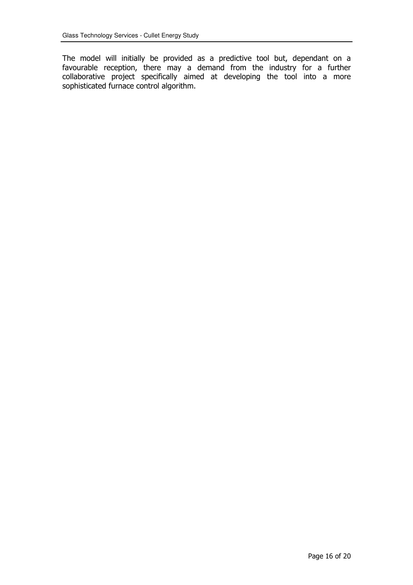The model will initially be provided as a predictive tool but, dependant on a favourable reception, there may a demand from the industry for a further collaborative project specifically aimed at developing the tool into a more sophisticated furnace control algorithm.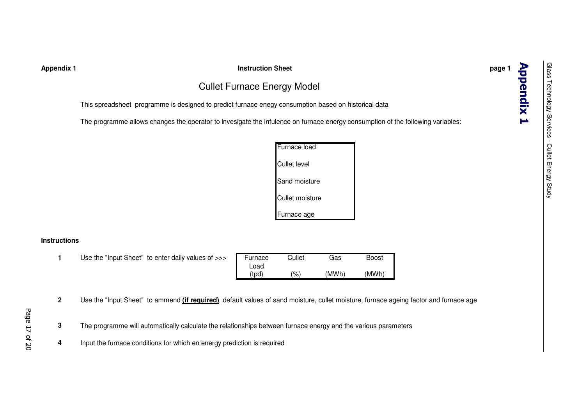### **Appendix 1 Instruction Sheet page 1**

# Cullet Furnace Energy Model

This spreadsheet programme is designed to predict furnace enegy consumption based on historical data

The programme allows changes the operator to invesigate the infulence on furnace energy consumption of the following variables:

| Furnace load        |
|---------------------|
| <b>Cullet level</b> |
| Sand moisture       |
| Cullet moisture     |
| Furnace age         |

### **Instructions**

**1**1 Use the "Input Sheet" to enter daily values of >>> Furnace Cullet Gas Boost

| Furnace | Cullet | Gas   | Boost |
|---------|--------|-------|-------|
| Load    |        |       |       |
| (tpd)   | (%)    | (MWh) | (MWh) |

- **2**Use the "Input Sheet" to ammend **(if required)** default values of sand moisture, cullet moisture, furnace ageing factor and furnace age
- Page 17 of 20
- **3** $3\,$  The programme will automatically calculate the relationships between furnace energy and the various parameters
- **4**Input the furnace conditions for which en energy prediction is required

**Appendix 1**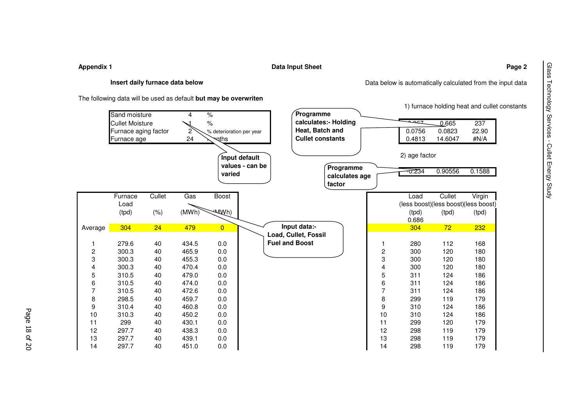**Appendix 1 Data Input Sheet Page 2**

### **Insert daily furnace data below**

The following data will be used as default **but may be overwriten**

|                         |                        |         |       |                          |                                  |                          |    |                                      |         | 1) furnace holding heat and cullet constants |
|-------------------------|------------------------|---------|-------|--------------------------|----------------------------------|--------------------------|----|--------------------------------------|---------|----------------------------------------------|
|                         | Sand moisture          |         | 4     | $\frac{9}{6}$            |                                  | Programme                |    |                                      |         |                                              |
|                         | <b>Cullet Moisture</b> |         |       | $\%$                     |                                  | calculates:- Holding     |    | <b>PAC</b>                           | 0.665   | 237                                          |
|                         | Furnace aging factor   |         | 2     | % deterioration per year |                                  | Heat, Batch and          |    | 0.0756                               | 0.0823  | 22.90                                        |
|                         | Furnace age            |         | 24    | খাhs                     |                                  | <b>Cullet constants</b>  |    | 0.4813                               | 14.6047 | #N/A                                         |
|                         |                        |         |       | varied                   | Input default<br>values - can be | Programme                |    | 2) age factor<br>$\overline{57.234}$ | 0.90556 | 0.1588                                       |
|                         |                        |         |       |                          |                                  | calculates age<br>factor |    |                                      |         |                                              |
|                         | Furnace                | Cullet  | Gas   | Boost                    |                                  |                          |    | Load                                 | Cullet  | Virgin                                       |
|                         | Load                   |         |       |                          |                                  |                          |    |                                      |         | (less boost)(less boost)(less boost)         |
|                         | (tpd)                  | $(\% )$ | (MWh) | <b>AAWh)</b>             |                                  |                          |    | (tpd)                                | (tpd)   | (tpd)                                        |
|                         |                        |         |       |                          |                                  | Input data:-             |    | 0.686                                |         |                                              |
| Average                 | 304                    | 24      | 479   | $\overline{0}$           |                                  | Load, Cullet, Fossil     |    | 304                                  | 72      | 232                                          |
| 1                       | 279.6                  | 40      | 434.5 | 0.0                      |                                  | <b>Fuel and Boost</b>    |    | 280                                  | 112     | 168                                          |
| $\overline{\mathbf{c}}$ | 300.3                  | 40      | 465.9 | 0.0                      |                                  |                          | 2  | 300                                  | 120     | 180                                          |
| 3                       | 300.3                  | 40      | 455.3 | 0.0                      |                                  |                          | 3  | 300                                  | 120     | 180                                          |
| 4                       | 300.3                  | 40      | 470.4 | 0.0                      |                                  |                          | 4  | 300                                  | 120     | 180                                          |
| 5                       | 310.5                  | 40      | 479.0 | 0.0                      |                                  |                          | 5  | 311                                  | 124     | 186                                          |
| 6                       | 310.5                  | 40      | 474.0 | 0.0                      |                                  |                          | 6  | 311                                  | 124     | 186                                          |
| 7                       | 310.5                  | 40      | 472.6 | 0.0                      |                                  |                          | 7  | 311                                  | 124     | 186                                          |
| 8                       | 298.5                  | 40      | 459.7 | 0.0                      |                                  |                          | 8  | 299                                  | 119     | 179                                          |
| 9                       | 310.4                  | 40      | 460.8 | 0.0                      |                                  |                          | 9  | 310                                  | 124     | 186                                          |
| 10                      | 310.3                  | 40      | 450.2 | 0.0                      |                                  |                          | 10 | 310                                  | 124     | 186                                          |
| 11                      | 299                    | 40      | 430.1 | 0.0                      |                                  |                          | 11 | 299                                  | 120     | 179                                          |
| 12                      | 297.7                  | 40      | 438.3 | 0.0                      |                                  |                          | 12 | 298                                  | 119     | 179                                          |
| 13                      | 297.7                  | 40      | 439.1 | 0.0                      |                                  |                          | 13 | 298                                  | 119     | 179                                          |
| 14                      | 297.7                  | 40      | 451.0 | 0.0                      |                                  |                          | 14 | 298                                  | 119     | 179                                          |

Glass Technology Services - Cullet Energy Study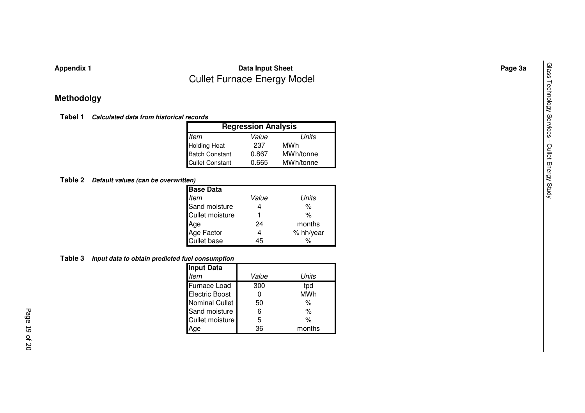# **Appendix 1 Data Input Sheet Page 3a** Cullet Furnace Energy Model

# **Methodolgy**

**Tabel 1** *Calculated data from historical records*

| <b>Regression Analysis</b> |       |           |  |
|----------------------------|-------|-----------|--|
| ltem                       | Value | Units     |  |
| Holding Heat               | 237   | MWh       |  |
| Batch Constant             | 0.867 | MWh/tonne |  |
| <b>Cullet Constant</b>     | 0.665 | MWh/tonne |  |

### **Table 2** *Default values (can be overwritten)*

| <b>Base Data</b>       |       |           |
|------------------------|-------|-----------|
| <b>Item</b>            | Value | Units     |
| Sand moisture          |       | %         |
| <b>Cullet moisture</b> |       | %         |
| Age                    | 24    | months    |
| Age Factor             | 4     | % hh/year |
| <b>Cullet base</b>     | 45    | %         |

### **Table 3** *Input data to obtain predicted fuel consumption*

| Input Data             |       |            |  |  |
|------------------------|-------|------------|--|--|
| Item                   | Value | Units      |  |  |
| <b>Furnace Load</b>    | 300   | tpd        |  |  |
| <b>Electric Boost</b>  |       | <b>MWh</b> |  |  |
| <b>Nominal Cullet</b>  | 50    | %          |  |  |
| Sand moisture          | 6     | $\%$       |  |  |
| <b>Cullet moisture</b> | 5     | $\%$       |  |  |
| ae                     | 36    | months     |  |  |